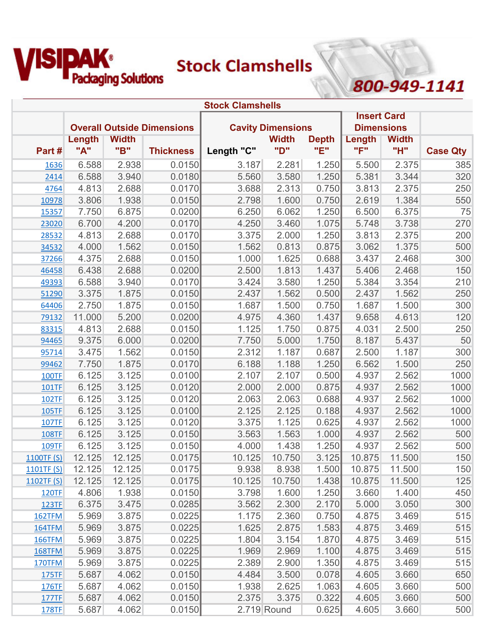

800-949-1141

|               |        |              |                                   | <b>Stock Clamshells</b> |                          |              |                    |              |                 |
|---------------|--------|--------------|-----------------------------------|-------------------------|--------------------------|--------------|--------------------|--------------|-----------------|
|               |        |              |                                   |                         |                          |              | <b>Insert Card</b> |              |                 |
|               |        |              | <b>Overall Outside Dimensions</b> |                         | <b>Cavity Dimensions</b> |              | <b>Dimensions</b>  |              |                 |
|               | Length | <b>Width</b> |                                   |                         | <b>Width</b>             | <b>Depth</b> | Length             | <b>Width</b> |                 |
| Part #        | "A"    | "B"          | <b>Thickness</b>                  | Length "C"              | "D"                      | "E"          | "F"                | "H"          | <b>Case Qty</b> |
| 1636          | 6.588  | 2.938        | 0.0150                            | 3.187                   | 2.281                    | 1.250        | 5.500              | 2.375        | 385             |
| 2414          | 6.588  | 3.940        | 0.0180                            | 5.560                   | 3.580                    | 1.250        | 5.381              | 3.344        | 320             |
| 4764          | 4.813  | 2.688        | 0.0170                            | 3.688                   | 2.313                    | 0.750        | 3.813              | 2.375        | 250             |
| 10978         | 3.806  | 1.938        | 0.0150                            | 2.798                   | 1.600                    | 0.750        | 2.619              | 1.384        | 550             |
| 15357         | 7.750  | 6.875        | 0.0200                            | 6.250                   | 6.062                    | 1.250        | 6.500              | 6.375        | 75              |
| 23020         | 6.700  | 4.200        | 0.0170                            | 4.250                   | 3.460                    | 1.075        | 5.748              | 3.738        | 270             |
| 28532         | 4.813  | 2.688        | 0.0170                            | 3.375                   | 2.000                    | 1.250        | 3.813              | 2.375        | 200             |
| 34532         | 4.000  | 1.562        | 0.0150                            | 1.562                   | 0.813                    | 0.875        | 3.062              | 1.375        | 500             |
| 37266         | 4.375  | 2.688        | 0.0150                            | 1.000                   | 1.625                    | 0.688        | 3.437              | 2.468        | 300             |
| 46458         | 6.438  | 2.688        | 0.0200                            | 2.500                   | 1.813                    | 1.437        | 5.406              | 2.468        | 150             |
| 49393         | 6.588  | 3.940        | 0.0170                            | 3.424                   | 3.580                    | 1.250        | 5.384              | 3.354        | 210             |
| 51290         | 3.375  | 1.875        | 0.0150                            | 2.437                   | 1.562                    | 0.500        | 2.437              | 1.562        | 250             |
| 64406         | 2.750  | 1.875        | 0.0150                            | 1.687                   | 1.500                    | 0.750        | 1.687              | 1.500        | 300             |
| 79132         | 11.000 | 5.200        | 0.0200                            | 4.975                   | 4.360                    | 1.437        | 9.658              | 4.613        | 120             |
| 83315         | 4.813  | 2.688        | 0.0150                            | 1.125                   | 1.750                    | 0.875        | 4.031              | 2.500        | 250             |
| 94465         | 9.375  | 6.000        | 0.0200                            | 7.750                   | 5.000                    | 1.750        | 8.187              | 5.437        | 50              |
| 95714         | 3.475  | 1.562        | 0.0150                            | 2.312                   | 1.187                    | 0.687        | 2.500              | 1.187        | 300             |
| 99462         | 7.750  | 1.875        | 0.0170                            | 6.188                   | 1.188                    | 1.250        | 6.562              | 1.500        | 250             |
| <b>100TF</b>  | 6.125  | 3.125        | 0.0100                            | 2.107                   | 2.107                    | 0.500        | 4.937              | 2.562        | 1000            |
| 101TF         | 6.125  | 3.125        | 0.0120                            | 2.000                   | 2.000                    | 0.875        | 4.937              | 2.562        | 1000            |
| 102TF         | 6.125  | 3.125        | 0.0120                            | 2.063                   | 2.063                    | 0.688        | 4.937              | 2.562        | 1000            |
| 105TF         | 6.125  | 3.125        | 0.0100                            | 2.125                   | 2.125                    | 0.188        | 4.937              | 2.562        | 1000            |
| <b>107TF</b>  | 6.125  | 3.125        | 0.0120                            | 3.375                   | 1.125                    | 0.625        | 4.937              | 2.562        | 1000            |
| 108TF         | 6.125  | 3.125        | 0.0150                            | 3.563                   | 1.563                    | 1.000        | 4.937              | 2.562        | 500             |
| 109TF         | 6.125  | 3.125        | 0.0150                            | 4.000                   | 1.438                    | 1.250        | 4.937              | 2.562        | 500             |
| 1100TF (S)    | 12.125 | 12.125       | 0.0175                            | 10.125                  | 10.750                   | 3.125        | 10.875             | 11.500       | 150             |
| 1101TF(S)     | 12.125 | 12.125       | 0.0175                            | 9.938                   | 8.938                    | 1.500        | 10.875             | 11.500       | 150             |
| 1102TF $(S)$  | 12.125 | 12.125       | 0.0175                            | 10.125                  | 10.750                   | 1.438        | 10.875             | 11.500       | 125             |
| <b>120TF</b>  | 4.806  | 1.938        | 0.0150                            | 3.798                   | 1.600                    | 1.250        | 3.660              | 1.400        | 450             |
| <b>123TF</b>  | 6.375  | 3.475        | 0.0285                            | 3.562                   | 2.300                    | 2.170        | 5.000              | 3.050        | 300             |
| 162TFM        | 5.969  | 3.875        | 0.0225                            | 1.175                   | 2.360                    | 0.750        | 4.875              | 3.469        | 515             |
| <b>164TFM</b> | 5.969  | 3.875        | 0.0225                            | 1.625                   | 2.875                    | 1.583        | 4.875              | 3.469        | 515             |
| <b>166TFM</b> | 5.969  | 3.875        | 0.0225                            | 1.804                   | 3.154                    | 1.870        | 4.875              | 3.469        | 515             |
| 168TFM        | 5.969  | 3.875        | 0.0225                            | 1.969                   | 2.969                    | 1.100        | 4.875              | 3.469        | 515             |
| <b>170TFM</b> | 5.969  | 3.875        | 0.0225                            | 2.389                   | 2.900                    | 1.350        | 4.875              | 3.469        | 515             |
| 175TF         | 5.687  | 4.062        | 0.0150                            | 4.484                   | 3.500                    | 0.078        | 4.605              | 3.660        | 650             |
| 176TF         | 5.687  | 4.062        | 0.0150                            | 1.938                   | 2.625                    | 1.063        | 4.605              | 3.660        | 500             |
| 177TF         | 5.687  | 4.062        | 0.0150                            | 2.375                   | 3.375                    | 0.322        | 4.605              | 3.660        | 500             |
| <b>178TF</b>  | 5.687  | 4.062        | 0.0150                            |                         | 2.719 Round              | 0.625        | 4.605              | 3.660        | 500             |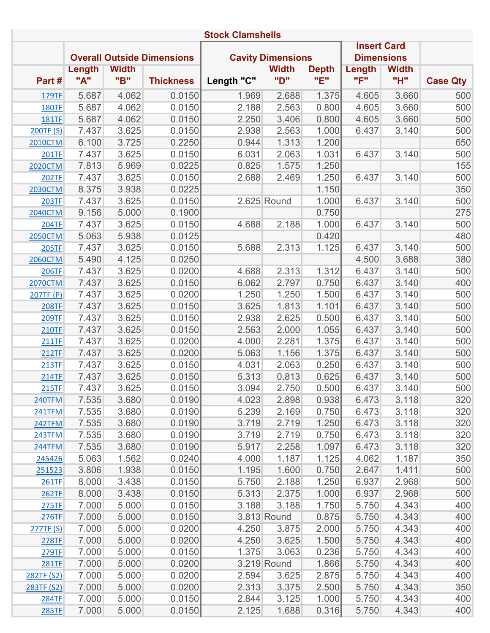|                | <b>Stock Clamshells</b> |              |                                   |            |                          |              |                    |              |                 |  |  |  |
|----------------|-------------------------|--------------|-----------------------------------|------------|--------------------------|--------------|--------------------|--------------|-----------------|--|--|--|
|                |                         |              |                                   |            |                          |              | <b>Insert Card</b> |              |                 |  |  |  |
|                |                         |              | <b>Overall Outside Dimensions</b> |            | <b>Cavity Dimensions</b> |              | <b>Dimensions</b>  |              |                 |  |  |  |
|                | Length                  | <b>Width</b> |                                   |            | <b>Width</b>             | <b>Depth</b> | Length             | <b>Width</b> |                 |  |  |  |
| Part#          | "A"                     | "B"          | <b>Thickness</b>                  | Length "C" | "D"                      | "E"          | "F"                | "H"          | <b>Case Qty</b> |  |  |  |
| 179TF          | 5.687                   | 4.062        | 0.0150                            | 1.969      | 2.688                    | 1.375        | 4.605              | 3.660        | 500             |  |  |  |
| <b>180TF</b>   | 5.687                   | 4.062        | 0.0150                            | 2.188      | 2.563                    | 0.800        | 4.605              | 3.660        | 500             |  |  |  |
| <b>181TF</b>   | 5.687                   | 4.062        | 0.0150                            | 2.250      | 3.406                    | 0.800        | 4.605              | 3.660        | 500             |  |  |  |
| 200TF (S)      | 7.437                   | 3.625        | 0.0150                            | 2.938      | 2.563                    | 1.000        | 6.437              | 3.140        | 500             |  |  |  |
| <b>2010CTM</b> | 6.100                   | 3.725        | 0.2250                            | 0.944      | 1.313                    | 1.200        |                    |              | 650             |  |  |  |
| <b>201TF</b>   | 7.437                   | 3.625        | 0.0150                            | 6.031      | 2.063                    | 1.031        | 6.437              | 3.140        | 500             |  |  |  |
| <b>2020CTM</b> | 7.813                   | 5.969        | 0.0225                            | 0.825      | 1.575                    | 1.250        |                    |              | 155             |  |  |  |
| <b>202TF</b>   | 7.437                   | 3.625        | 0.0150                            | 2.688      | 2.469                    | 1.250        | 6.437              | 3.140        | 500             |  |  |  |
| <b>2030CTM</b> | 8.375                   | 3.938        | 0.0225                            |            |                          | 1.150        |                    |              | 350             |  |  |  |
| <b>203TF</b>   | 7.437                   | 3.625        | 0.0150                            |            | 2.625 Round              | 1.000        | 6.437              | 3.140        | 500             |  |  |  |
| <b>2040CTM</b> | 9.156                   | 5.000        | 0.1900                            |            |                          | 0.750        |                    |              | 275             |  |  |  |
| <b>204TF</b>   | 7.437                   | 3.625        | 0.0150                            | 4.688      | 2.188                    | 1.000        | 6.437              | 3.140        | 500             |  |  |  |
| <b>2050CTM</b> | 5.063                   | 5.938        | 0.0125                            |            |                          | 0.420        |                    |              | 480             |  |  |  |
| <b>205TF</b>   | 7.437                   | 3.625        | 0.0150                            | 5.688      | 2.313                    | 1.125        | 6.437              | 3.140        | 500             |  |  |  |
| <b>2060CTM</b> | 5.490                   | 4.125        | 0.0250                            |            |                          |              | 4.500              | 3.688        | 380             |  |  |  |
| <b>206TF</b>   | 7.437                   | 3.625        | 0.0200                            | 4.688      | 2.313                    | 1.312        | 6.437              | 3.140        | 500             |  |  |  |
| <b>2070CTM</b> | 7.437                   | 3.625        | 0.0150                            | 6.062      | 2.797                    | 0.750        | 6.437              | 3.140        | 400             |  |  |  |
| 207TF (P)      | 7.437                   | 3.625        | 0.0200                            | 1.250      | 1.250                    | 1.500        | 6.437              | 3.140        | 500             |  |  |  |
| <b>208TF</b>   | 7.437                   | 3.625        | 0.0150                            | 3.625      | 1.813                    | 1.101        | 6.437              | 3.140        | 500             |  |  |  |
| 209TF          | 7.437                   | 3.625        | 0.0150                            | 2.938      | 2.625                    | 0.500        | 6.437              | 3.140        | 500             |  |  |  |
| <b>210TF</b>   | 7.437                   | 3.625        | 0.0150                            | 2.563      | 2.000                    | 1.055        | 6.437              | 3.140        | 500             |  |  |  |
| <b>211TF</b>   | 7.437                   | 3.625        | 0.0200                            | 4.000      | 2.281                    | 1.375        | 6.437              | 3.140        | 500             |  |  |  |
| <b>212TF</b>   | 7.437                   | 3.625        | 0.0200                            | 5.063      | 1.156                    | 1.375        | 6.437              | 3.140        | 500             |  |  |  |
| 213TF          | 7.437                   | 3.625        | 0.0150                            | 4.031      | 2.063                    | 0.250        | 6.437              | 3.140        | 500             |  |  |  |
| <b>214TF</b>   | 7.437                   | 3.625        | 0.0150                            | 5.313      | 0.813                    | 0.625        | 6.437              | 3.140        | 500             |  |  |  |
| 215TF          | 7.437                   | 3.625        | 0.0150                            | 3.094      | 2.750                    | 0.500        | 6.437              | 3.140        | 500             |  |  |  |
| 240TFM         | 7.535                   | 3.680        | 0.0190                            | 4.023      | 2.898                    | 0.938        | 6.473              | 3.118        | 320             |  |  |  |
| <b>241TFM</b>  | 7.535                   | 3.680        | 0.0190                            | 5.239      | 2.169                    | 0.750        | 6.473              | 3.118        | 320             |  |  |  |
| 242TFM         | 7.535                   | 3.680        | 0.0190                            | 3.719      | 2.719                    | 1.250        | 6.473              | 3.118        | 320             |  |  |  |
| <b>243TFM</b>  | 7.535                   | 3.680        | 0.0190                            | 3.719      | 2.719                    | 0.750        | 6.473              | 3.118        | 320             |  |  |  |
| 244TFM         | 7.535                   | 3.680        | 0.0190                            | 5.917      | 2.258                    | 1.097        | 6.473              | 3.118        | 320             |  |  |  |
| 245426         | 5.063                   | 1.562        | 0.0240                            | 4.000      | 1.187                    | 1.125        | 4.062              | 1.187        | 350             |  |  |  |
| 251523         | 3.806                   | 1.938        | 0.0150                            | 1.195      | 1.600                    | 0.750        | 2.647              | 1.411        | 500             |  |  |  |
| 261TF          | 8.000                   | 3.438        | 0.0150                            | 5.750      | 2.188                    | 1.250        | 6.937              | 2.968        | 500             |  |  |  |
| <b>262TF</b>   | 8.000                   | 3.438        | 0.0150                            | 5.313      | 2.375                    | 1.000        | 6.937              | 2.968        | 500             |  |  |  |
| 275TF          | 7.000                   | 5.000        | 0.0150                            | 3.188      | 3.188                    | 1.750        | 5.750              | 4.343        | 400             |  |  |  |
| 276TF          | 7.000                   | 5.000        | 0.0150                            |            | 3.813 Round              | 0.875        | 5.750              | 4.343        | 400             |  |  |  |
| 277TF(S)       | 7.000                   | 5.000        | 0.0200                            | 4.250      | 3.875                    | 2.000        | 5.750              | 4.343        | 400             |  |  |  |
| <b>278TF</b>   | 7.000                   | 5.000        | 0.0200                            | 4.250      | 3.625                    | 1.500        | 5.750              | 4.343        | 400             |  |  |  |
| 279TF          | 7.000                   | 5.000        | 0.0150                            | 1.375      | 3.063                    | 0.236        | 5.750              | 4.343        | 400             |  |  |  |
| <b>281TF</b>   | 7.000                   | 5.000        | 0.0200                            |            | 3.219 Round              | 1.866        | 5.750              | 4.343        | 400             |  |  |  |
| 282TF (S2)     | 7.000                   | 5.000        | 0.0200                            | 2.594      | 3.625                    | 2.875        | 5.750              | 4.343        | 400             |  |  |  |
| 283TF (S2)     | 7.000                   | 5.000        | 0.0200                            | 2.313      | 3.375                    | 2.500        | 5.750              | 4.343        | 350             |  |  |  |
| <b>284TF</b>   | 7.000                   | 5.000        | 0.0150                            | 2.844      | 3.125                    | 1.000        | 5.750              | 4.343        | 400             |  |  |  |
| <b>285TF</b>   | 7.000                   | 5.000        | 0.0150                            | 2.125      | 1.688                    | 0.316        | 5.750              | 4.343        | 400             |  |  |  |
|                |                         |              |                                   |            |                          |              |                    |              |                 |  |  |  |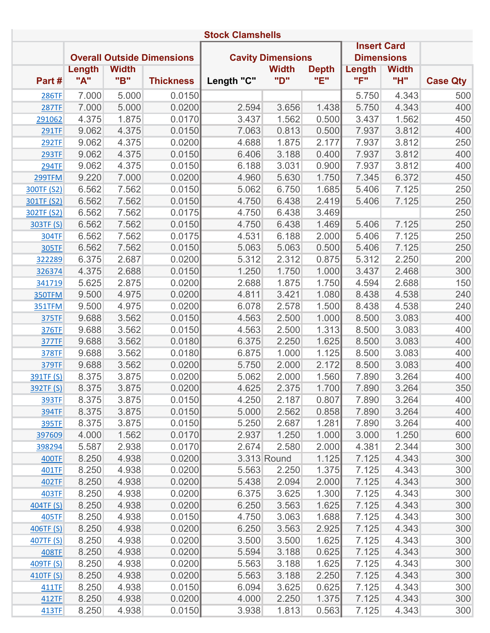|                  | <b>Stock Clamshells</b> |              |                                   |            |                          |              |                    |              |                 |  |  |  |
|------------------|-------------------------|--------------|-----------------------------------|------------|--------------------------|--------------|--------------------|--------------|-----------------|--|--|--|
|                  |                         |              |                                   |            |                          |              | <b>Insert Card</b> |              |                 |  |  |  |
|                  |                         |              | <b>Overall Outside Dimensions</b> |            | <b>Cavity Dimensions</b> |              | <b>Dimensions</b>  |              |                 |  |  |  |
|                  | Length                  | <b>Width</b> |                                   |            | <b>Width</b>             | <b>Depth</b> | Length             | <b>Width</b> |                 |  |  |  |
| Part#            | "A"                     | "B"          | <b>Thickness</b>                  | Length "C" | "ם"                      | "E"          | "F"                | "H"          | <b>Case Qty</b> |  |  |  |
| <b>286TF</b>     | 7.000                   | 5.000        | 0.0150                            |            |                          |              | 5.750              | 4.343        | 500             |  |  |  |
| <b>287TF</b>     | 7.000                   | 5.000        | 0.0200                            | 2.594      | 3.656                    | 1.438        | 5.750              | 4.343        | 400             |  |  |  |
| 291062           | 4.375                   | 1.875        | 0.0170                            | 3.437      | 1.562                    | 0.500        | 3.437              | 1.562        | 450             |  |  |  |
| 291TF            | 9.062                   | 4.375        | 0.0150                            | 7.063      | 0.813                    | 0.500        | 7.937              | 3.812        | 400             |  |  |  |
| <b>292TF</b>     | 9.062                   | 4.375        | 0.0200                            | 4.688      | 1.875                    | 2.177        | 7.937              | 3.812        | 250             |  |  |  |
| <b>293TF</b>     | 9.062                   | 4.375        | 0.0150                            | 6.406      | 3.188                    | 0.400        | 7.937              | 3.812        | 400             |  |  |  |
| <b>294TF</b>     | 9.062                   | 4.375        | 0.0150                            | 6.188      | 3.031                    | 0.900        | 7.937              | 3.812        | 400             |  |  |  |
| 299TFM           | 9.220                   | 7.000        | 0.0200                            | 4.960      | 5.630                    | 1.750        | 7.345              | 6.372        | 450             |  |  |  |
| 300TF (S2)       | 6.562                   | 7.562        | 0.0150                            | 5.062      | 6.750                    | 1.685        | 5.406              | 7.125        | 250             |  |  |  |
| 301TF (S2)       | 6.562                   | 7.562        | 0.0150                            | 4.750      | 6.438                    | 2.419        | 5.406              | 7.125        | 250             |  |  |  |
| 302TF (S2)       | 6.562                   | 7.562        | 0.0175                            | 4.750      | 6.438                    | 3.469        |                    |              | 250             |  |  |  |
| 303TF (S)        | 6.562                   | 7.562        | 0.0150                            | 4.750      | 6.438                    | 1.469        | 5.406              | 7.125        | 250             |  |  |  |
| <b>304TF</b>     | 6.562                   | 7.562        | 0.0175                            | 4.531      | 6.188                    | 2.000        | 5.406              | 7.125        | 250             |  |  |  |
| 305TF            | 6.562                   | 7.562        | 0.0150                            | 5.063      | 5.063                    | 0.500        | 5.406              | 7.125        | 250             |  |  |  |
| 322289           | 6.375                   | 2.687        | 0.0200                            | 5.312      | 2.312                    | 0.875        | 5.312              | 2.250        | 200             |  |  |  |
| 326374           | 4.375                   | 2.688        | 0.0150                            | 1.250      | 1.750                    | 1.000        | 3.437              | 2.468        | 300             |  |  |  |
| 341719           | 5.625                   | 2.875        | 0.0200                            | 2.688      | 1.875                    | 1.750        | 4.594              | 2.688        | 150             |  |  |  |
| <b>350TFM</b>    | 9.500                   | 4.975        | 0.0200                            | 4.811      | 3.421                    | 1.080        | 8.438              | 4.538        | 240             |  |  |  |
| 351TFM           | 9.500                   | 4.975        | 0.0200                            | 6.078      | 2.578                    | 1.500        | 8.438              | 4.538        | 240             |  |  |  |
| 375TF            | 9.688                   | 3.562        | 0.0150                            | 4.563      | 2.500                    | 1.000        | 8.500              | 3.083        | 400             |  |  |  |
| 376TF            | 9.688                   | 3.562        | 0.0150                            | 4.563      | 2.500                    | 1.313        | 8.500              | 3.083        | 400             |  |  |  |
| <b>377TF</b>     | 9.688                   | 3.562        | 0.0180                            | 6.375      | 2.250                    | 1.625        | 8.500              | 3.083        | 400             |  |  |  |
| <b>378TF</b>     | 9.688                   | 3.562        | 0.0180                            | 6.875      | 1.000                    | 1.125        | 8.500              | 3.083        | 400             |  |  |  |
| 379TF            | 9.688                   | 3.562        | 0.0200                            | 5.750      | 2.000                    | 2.172        | 8.500              | 3.083        | 400             |  |  |  |
| 391TF (S)        | 8.375                   | 3.875        | 0.0200                            | 5.062      | 2.000                    | 1.560        | 7.890              | 3.264        | 400             |  |  |  |
| <b>392TF (S)</b> | 8.375                   | 3.875        | 0.0200                            | 4.625      | 2.375                    | 1.700        | 7.890              | 3.264        | 350             |  |  |  |
| 393TF            | 8.375                   | 3.875        | 0.0150                            | 4.250      | 2.187                    | 0.807        | 7.890              | 3.264        | 400             |  |  |  |
| <b>394TF</b>     | 8.375                   | 3.875        | 0.0150                            | 5.000      | 2.562                    | 0.858        | 7.890              | 3.264        | 400             |  |  |  |
| <b>395TF</b>     | 8.375                   | 3.875        | 0.0150                            | 5.250      | 2.687                    | 1.281        | 7.890              | 3.264        | 400             |  |  |  |
| 397609           | 4.000                   | 1.562        | 0.0170                            | 2.937      | 1.250                    | 1.000        | 3.000              | 1.250        | 600             |  |  |  |
| 398294           | 5.587                   | 2.938        | 0.0170                            | 2.674      | 2.580                    | 2.000        | 4.381              | 2.344        | 300             |  |  |  |
| 400TF            | 8.250                   | 4.938        | 0.0200                            |            | 3.313 Round              | 1.125        | 7.125              | 4.343        | 300             |  |  |  |
| 401TF            | 8.250                   | 4.938        | 0.0200                            | 5.563      | 2.250                    | 1.375        | 7.125              | 4.343        | 300             |  |  |  |
| 402TF            | 8.250                   | 4.938        | 0.0200                            | 5.438      | 2.094                    | 2.000        | 7.125              | 4.343        | 300             |  |  |  |
| 403TF            | 8.250                   | 4.938        | 0.0200                            | 6.375      | 3.625                    | 1.300        | 7.125              | 4.343        | 300             |  |  |  |
| 404TF (S)        | 8.250                   | 4.938        | 0.0200                            | 6.250      | 3.563                    | 1.625        | 7.125              | 4.343        | 300             |  |  |  |
| 405TF            | 8.250                   | 4.938        | 0.0150                            | 4.750      | 3.063                    | 1.688        | 7.125              | 4.343        | 300             |  |  |  |
| 406TF (S)        | 8.250                   | 4.938        | 0.0200                            | 6.250      | 3.563                    | 2.925        | 7.125              | 4.343        | 300             |  |  |  |
| 407TF (S)        | 8.250                   | 4.938        | 0.0200                            | 3.500      | 3.500                    | 1.625        | 7.125              | 4.343        | 300             |  |  |  |
| 408TF            | 8.250                   | 4.938        | 0.0200                            | 5.594      | 3.188                    | 0.625        | 7.125              | 4.343        | 300             |  |  |  |
| 409TF (S)        | 8.250                   | 4.938        | 0.0200                            | 5.563      | 3.188                    | 1.625        | 7.125              | 4.343        | 300             |  |  |  |
| 410TF (S)        | 8.250                   | 4.938        | 0.0200                            | 5.563      | 3.188                    | 2.250        | 7.125              | 4.343        | 300             |  |  |  |
| 411TF            | 8.250                   | 4.938        | 0.0150                            | 6.094      | 3.625                    | 0.625        | 7.125              | 4.343        | 300             |  |  |  |
| 412TF            | 8.250                   | 4.938        | 0.0200                            | 4.000      | 2.250                    | 1.375        | 7.125              | 4.343        | 300             |  |  |  |
| 413TF            | 8.250                   | 4.938        | 0.0150                            | 3.938      | 1.813                    | 0.563        | 7.125              | 4.343        | 300             |  |  |  |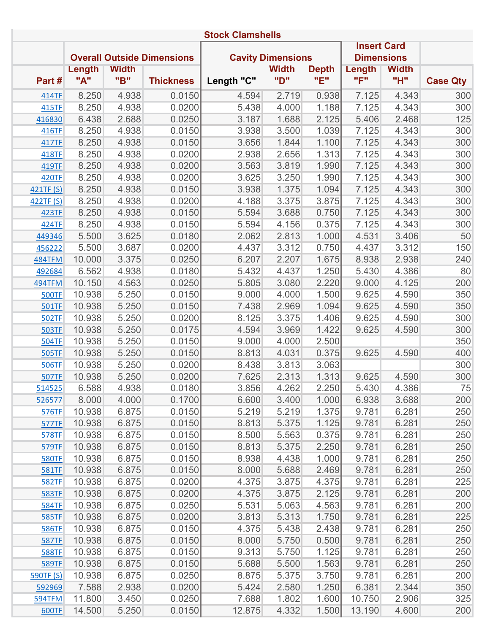|                  | <b>Stock Clamshells</b> |              |                                   |            |                          |              |                    |              |                 |  |  |  |
|------------------|-------------------------|--------------|-----------------------------------|------------|--------------------------|--------------|--------------------|--------------|-----------------|--|--|--|
|                  |                         |              |                                   |            |                          |              | <b>Insert Card</b> |              |                 |  |  |  |
|                  |                         |              | <b>Overall Outside Dimensions</b> |            | <b>Cavity Dimensions</b> |              | <b>Dimensions</b>  |              |                 |  |  |  |
|                  | Length                  | <b>Width</b> |                                   |            | <b>Width</b>             | <b>Depth</b> | Length             | <b>Width</b> |                 |  |  |  |
| Part#            | "A"                     | "B"          | <b>Thickness</b>                  | Length "C" | "D"                      | "E"          | "F"                | "H"          | <b>Case Qty</b> |  |  |  |
| 414TF            | 8.250                   | 4.938        | 0.0150                            | 4.594      | 2.719                    | 0.938        | 7.125              | 4.343        | 300             |  |  |  |
| 415TF            | 8.250                   | 4.938        | 0.0200                            | 5.438      | 4.000                    | 1.188        | 7.125              | 4.343        | 300             |  |  |  |
| 416830           | 6.438                   | 2.688        | 0.0250                            | 3.187      | 1.688                    | 2.125        | 5.406              | 2.468        | 125             |  |  |  |
| 416TF            | 8.250                   | 4.938        | 0.0150                            | 3.938      | 3.500                    | 1.039        | 7.125              | 4.343        | 300             |  |  |  |
| 417TF            | 8.250                   | 4.938        | 0.0150                            | 3.656      | 1.844                    | 1.100        | 7.125              | 4.343        | 300             |  |  |  |
| 418TF            | 8.250                   | 4.938        | 0.0200                            | 2.938      | 2.656                    | 1.313        | 7.125              | 4.343        | 300             |  |  |  |
| 419TF            | 8.250                   | 4.938        | 0.0200                            | 3.563      | 3.819                    | 1.990        | 7.125              | 4.343        | 300             |  |  |  |
| <b>420TF</b>     | 8.250                   | 4.938        | 0.0200                            | 3.625      | 3.250                    | 1.990        | 7.125              | 4.343        | 300             |  |  |  |
| 421TF (S)        | 8.250                   | 4.938        | 0.0150                            | 3.938      | 1.375                    | 1.094        | 7.125              | 4.343        | 300             |  |  |  |
| 422TF (S)        | 8.250                   | 4.938        | 0.0200                            | 4.188      | 3.375                    | 3.875        | 7.125              | 4.343        | 300             |  |  |  |
| 423TF            | 8.250                   | 4.938        | 0.0150                            | 5.594      | 3.688                    | 0.750        | 7.125              | 4.343        | 300             |  |  |  |
| 424TF            | 8.250                   | 4.938        | 0.0150                            | 5.594      | 4.156                    | 0.375        | 7.125              | 4.343        | 300             |  |  |  |
| 449346           | 5.500                   | 3.625        | 0.0180                            | 2.062      | 2.813                    | 1.000        | 4.531              | 3.406        | 50              |  |  |  |
| 456222           | 5.500                   | 3.687        | 0.0200                            | 4.437      | 3.312                    | 0.750        | 4.437              | 3.312        | 150             |  |  |  |
| 484TFM           | 10.000                  | 3.375        | 0.0250                            | 6.207      | 2.207                    | 1.675        | 8.938              | 2.938        | 240             |  |  |  |
| 492684           | 6.562                   | 4.938        | 0.0180                            | 5.432      | 4.437                    | 1.250        | 5.430              | 4.386        | 80              |  |  |  |
| 494TFM           | 10.150                  | 4.563        | 0.0250                            | 5.805      | 3.080                    | 2.220        | 9.000              | 4.125        | 200             |  |  |  |
| <b>500TF</b>     | 10.938                  | 5.250        | 0.0150                            | 9.000      | 4.000                    | 1.500        | 9.625              | 4.590        | 350             |  |  |  |
| 501TF            | 10.938                  | 5.250        | 0.0150                            | 7.438      | 2.969                    | 1.094        | 9.625              | 4.590        | 350             |  |  |  |
| 502TF            | 10.938                  | 5.250        | 0.0200                            | 8.125      | 3.375                    | 1.406        | 9.625              | 4.590        | 300             |  |  |  |
| <b>503TF</b>     | 10.938                  | 5.250        | 0.0175                            | 4.594      | 3.969                    | 1.422        | 9.625              | 4.590        | 300             |  |  |  |
| <b>504TF</b>     | 10.938                  | 5.250        | 0.0150                            | 9.000      | 4.000                    | 2.500        |                    |              | 350             |  |  |  |
| <b>505TF</b>     | 10.938                  | 5.250        | 0.0150                            | 8.813      | 4.031                    | 0.375        | 9.625              | 4.590        | 400             |  |  |  |
| <b>506TF</b>     | 10.938                  | 5.250        | 0.0200                            | 8.438      | 3.813                    | 3.063        |                    |              | 300             |  |  |  |
| <b>507TF</b>     | 10.938                  | 5.250        | 0.0200                            | 7.625      | 2.313                    | 1.313        | 9.625              | 4.590        | 300             |  |  |  |
| 514525           | 6.588                   | 4.938        | 0.0180                            | 3.856      | 4.262                    | 2.250        | 5.430              | 4.386        | 75              |  |  |  |
| 526577           | 8.000                   | 4.000        | 0.1700                            | 6.600      | 3.400                    | 1.000        | 6.938              | 3.688        | 200             |  |  |  |
| 576TF            | 10.938                  | 6.875        | 0.0150                            | 5.219      | 5.219                    | 1.375        | 9.781              | 6.281        | 250             |  |  |  |
| <b>577TF</b>     | 10.938                  | 6.875        | 0.0150                            | 8.813      | 5.375                    | 1.125        | 9.781              | 6.281        | 250             |  |  |  |
| 578TF            | 10.938                  | 6.875        | 0.0150                            | 8.500      | 5.563                    | 0.375        | 9.781              | 6.281        | 250             |  |  |  |
| 579TF            | 10.938                  | 6.875        | 0.0150                            | 8.813      | 5.375                    | 2.250        | 9.781              | 6.281        | 250             |  |  |  |
| <b>580TF</b>     | 10.938                  | 6.875        | 0.0150                            | 8.938      | 4.438                    | 1.000        | 9.781              | 6.281        | 250             |  |  |  |
| <b>581TF</b>     | 10.938                  | 6.875        | 0.0150                            | 8.000      | 5.688                    | 2.469        | 9.781              | 6.281        | 250             |  |  |  |
| <b>582TF</b>     | 10.938                  | 6.875        | 0.0200                            | 4.375      | 3.875                    | 4.375        | 9.781              | 6.281        | 225             |  |  |  |
| <b>583TF</b>     | 10.938                  | 6.875        | 0.0200                            | 4.375      | 3.875                    | 2.125        | 9.781              | 6.281        | 200             |  |  |  |
| <b>584TF</b>     | 10.938                  | 6.875        | 0.0250                            | 5.531      | 5.063                    | 4.563        | 9.781              | 6.281        | 200             |  |  |  |
| <b>585TF</b>     | 10.938                  | 6.875        | 0.0200                            | 3.813      | 5.313                    | 1.750        | 9.781              | 6.281        | 225             |  |  |  |
| <b>586TF</b>     | 10.938                  | 6.875        | 0.0150                            | 4.375      | 5.438                    | 2.438        | 9.781              | 6.281        | 250             |  |  |  |
| <b>587TF</b>     | 10.938                  | 6.875        | 0.0150                            | 8.000      | 5.750                    | 0.500        | 9.781              | 6.281        | 250             |  |  |  |
| <b>588TF</b>     | 10.938                  | 6.875        | 0.0150                            | 9.313      | 5.750                    | 1.125        | 9.781              | 6.281        | 250             |  |  |  |
| <b>589TF</b>     | 10.938                  | 6.875        | 0.0150                            | 5.688      | 5.500                    | 1.563        | 9.781              | 6.281        | 250             |  |  |  |
| <b>590TF (S)</b> | 10.938                  | 6.875        | 0.0250                            | 8.875      | 5.375                    | 3.750        | 9.781              | 6.281        | 200             |  |  |  |
| 592969           | 7.588                   | 2.938        | 0.0200                            | 5.424      | 2.580                    | 1.250        | 6.381              | 2.344        | 350             |  |  |  |
| 594TFM           | 11.800                  | 3.450        | 0.0250                            | 7.688      | 1.802                    | 1.600        | 10.750             | 2.906        | 325             |  |  |  |
| 600TF            | 14.500                  | 5.250        | 0.0150                            | 12.875     | 4.332                    | 1.500        | 13.190             | 4.600        | 200             |  |  |  |